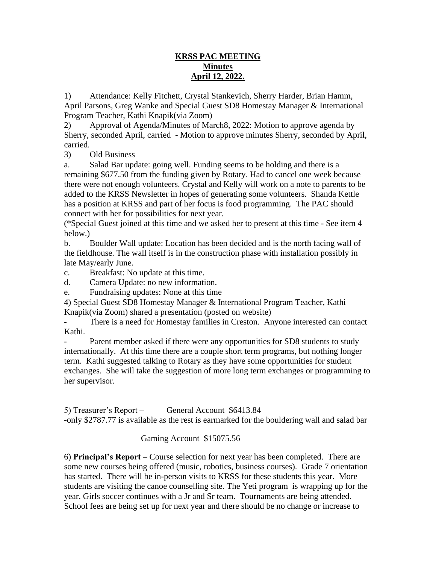## **KRSS PAC MEETING Minutes April 12, 2022.**

1) Attendance: Kelly Fitchett, Crystal Stankevich, Sherry Harder, Brian Hamm, April Parsons, Greg Wanke and Special Guest SD8 Homestay Manager & International Program Teacher, Kathi Knapik(via Zoom)

2) Approval of Agenda/Minutes of March8, 2022: Motion to approve agenda by Sherry, seconded April, carried - Motion to approve minutes Sherry, seconded by April, carried.

3) Old Business

a. Salad Bar update: going well. Funding seems to be holding and there is a remaining \$677.50 from the funding given by Rotary. Had to cancel one week because there were not enough volunteers. Crystal and Kelly will work on a note to parents to be added to the KRSS Newsletter in hopes of generating some volunteers. Shanda Kettle has a position at KRSS and part of her focus is food programming. The PAC should connect with her for possibilities for next year.

(\*Special Guest joined at this time and we asked her to present at this time - See item 4 below.)

b. Boulder Wall update: Location has been decided and is the north facing wall of the fieldhouse. The wall itself is in the construction phase with installation possibly in late May/early June.

c. Breakfast: No update at this time.

d. Camera Update: no new information.

e. Fundraising updates: None at this time

4) Special Guest SD8 Homestay Manager & International Program Teacher, Kathi Knapik(via Zoom) shared a presentation (posted on website)

There is a need for Homestay families in Creston. Anyone interested can contact Kathi.

Parent member asked if there were any opportunities for SD8 students to study internationally. At this time there are a couple short term programs, but nothing longer term. Kathi suggested talking to Rotary as they have some opportunities for student exchanges. She will take the suggestion of more long term exchanges or programming to her supervisor.

5) Treasurer's Report – General Account \$6413.84 -only \$2787.77 is available as the rest is earmarked for the bouldering wall and salad bar

## Gaming Account \$15075.56

6) **Principal's Report** – Course selection for next year has been completed. There are some new courses being offered (music, robotics, business courses). Grade 7 orientation has started. There will be in-person visits to KRSS for these students this year. More students are visiting the canoe counselling site. The Yeti program is wrapping up for the year. Girls soccer continues with a Jr and Sr team. Tournaments are being attended. School fees are being set up for next year and there should be no change or increase to